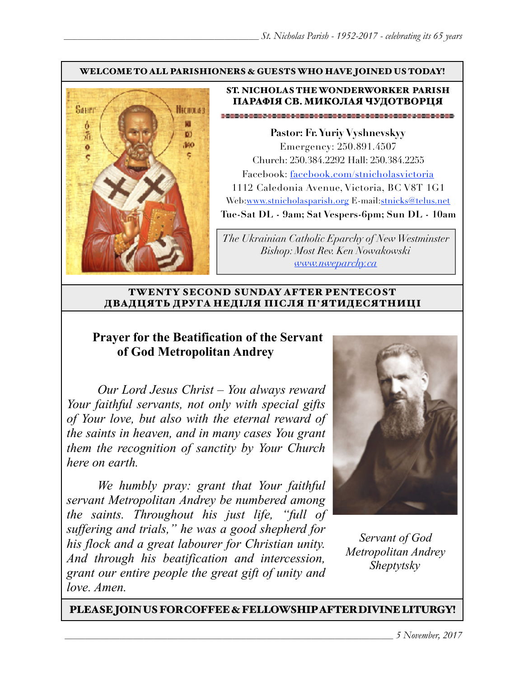#### WELCOME TO ALL PARISHIONERS & GUESTS WHO HAVE JOINED US TODAY!



#### ST. NICHOLAS THE WONDERWORKER PARISH ПАРАФІЯ СВ. МИКОЛАЯ ЧУДОТВОРЦЯ

**Pastor: Fr. Yuriy Vyshnevskyy** Emergency: 250.891.4507 Church: 250.384.2292 Hall: 250.384.2255 Facebook: facebook.com/stnicholasvictoria 1112 Caledonia Avenue, Victoria, BC V8T 1G1 Web[:www.stnicholasparish.org](http://www.stnicholasparish.org) E-mail:[stnicks@telus.net](mailto:stnicks@telus.net) **Tue-Sat DL - 9am; Sat Vespers-6pm; Sun DL - 10am**

*The Ukrainian Catholic Eparchy of New Westminster Bishop: Most Rev. Ken Nowakowski [www.nweparchy.ca](http://www.nweparchy.ca)*

#### TWENTY SECOND SUNDAY AFTER PENTECOST ДВАДЦЯТЬ ДРУГА НЕДІЛЯ ПІСЛЯ П**'**ЯТИДЕСЯТНИЦІ

# **Prayer for the Beatification of the Servant of God Metropolitan Andrey**

*Our Lord Jesus Christ – You always reward Your faithful servants, not only with special gifts of Your love, but also with the eternal reward of the saints in heaven, and in many cases You grant them the recognition of sanctity by Your Church here on earth.* 

*We humbly pray: grant that Your faithful servant Metropolitan Andrey be numbered among the saints. Throughout his just life, "full of suffering and trials," he was a good shepherd for his flock and a great labourer for Christian unity. And through his beatification and intercession, grant our entire people the great gift of unity and love. Amen.*



*Servant of God Metropolitan Andrey Sheptytsky*

PLEASE JOIN US FOR COFFEE & FELLOWSHIP AFTER DIVINE LITURGY!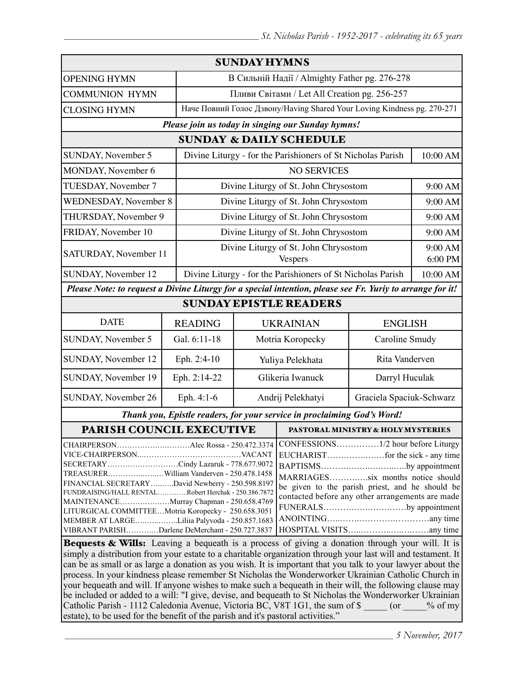| <b>SUNDAY HYMNS</b>                                                                                                                                                                                                                                                                                                                                                                              |                |                                                                         |                                                                                                                                                                                                                                                                                                                                            |                |                    |  |  |
|--------------------------------------------------------------------------------------------------------------------------------------------------------------------------------------------------------------------------------------------------------------------------------------------------------------------------------------------------------------------------------------------------|----------------|-------------------------------------------------------------------------|--------------------------------------------------------------------------------------------------------------------------------------------------------------------------------------------------------------------------------------------------------------------------------------------------------------------------------------------|----------------|--------------------|--|--|
| <b>OPENING HYMN</b>                                                                                                                                                                                                                                                                                                                                                                              |                | В Сильній Надії / Almighty Father pg. 276-278                           |                                                                                                                                                                                                                                                                                                                                            |                |                    |  |  |
| <b>COMMUNION HYMN</b>                                                                                                                                                                                                                                                                                                                                                                            |                | Пливи Світами / Let All Creation pg. 256-257                            |                                                                                                                                                                                                                                                                                                                                            |                |                    |  |  |
| <b>CLOSING HYMN</b>                                                                                                                                                                                                                                                                                                                                                                              |                | Наче Повний Голос Дзвону/Having Shared Your Loving Kindness pg. 270-271 |                                                                                                                                                                                                                                                                                                                                            |                |                    |  |  |
| Please join us today in singing our Sunday hymns!                                                                                                                                                                                                                                                                                                                                                |                |                                                                         |                                                                                                                                                                                                                                                                                                                                            |                |                    |  |  |
| <b>SUNDAY &amp; DAILY SCHEDULE</b>                                                                                                                                                                                                                                                                                                                                                               |                |                                                                         |                                                                                                                                                                                                                                                                                                                                            |                |                    |  |  |
| SUNDAY, November 5                                                                                                                                                                                                                                                                                                                                                                               |                | Divine Liturgy - for the Parishioners of St Nicholas Parish<br>10:00 AM |                                                                                                                                                                                                                                                                                                                                            |                |                    |  |  |
| MONDAY, November 6                                                                                                                                                                                                                                                                                                                                                                               |                | <b>NO SERVICES</b>                                                      |                                                                                                                                                                                                                                                                                                                                            |                |                    |  |  |
| TUESDAY, November 7                                                                                                                                                                                                                                                                                                                                                                              |                | Divine Liturgy of St. John Chrysostom                                   |                                                                                                                                                                                                                                                                                                                                            |                | 9:00 AM            |  |  |
| WEDNESDAY, November 8                                                                                                                                                                                                                                                                                                                                                                            |                | Divine Liturgy of St. John Chrysostom                                   |                                                                                                                                                                                                                                                                                                                                            |                | 9:00 AM            |  |  |
| THURSDAY, November 9                                                                                                                                                                                                                                                                                                                                                                             |                | Divine Liturgy of St. John Chrysostom                                   |                                                                                                                                                                                                                                                                                                                                            |                | 9:00 AM            |  |  |
| FRIDAY, November 10                                                                                                                                                                                                                                                                                                                                                                              |                | Divine Liturgy of St. John Chrysostom                                   |                                                                                                                                                                                                                                                                                                                                            |                | 9:00 AM            |  |  |
| SATURDAY, November 11                                                                                                                                                                                                                                                                                                                                                                            |                | Divine Liturgy of St. John Chrysostom<br><b>Vespers</b>                 |                                                                                                                                                                                                                                                                                                                                            |                | 9:00 AM<br>6:00 PM |  |  |
| <b>SUNDAY, November 12</b>                                                                                                                                                                                                                                                                                                                                                                       |                | Divine Liturgy - for the Parishioners of St Nicholas Parish             |                                                                                                                                                                                                                                                                                                                                            |                | 10:00 AM           |  |  |
| Please Note: to request a Divine Liturgy for a special intention, please see Fr. Yuriy to arrange for it!                                                                                                                                                                                                                                                                                        |                |                                                                         |                                                                                                                                                                                                                                                                                                                                            |                |                    |  |  |
| <b>SUNDAY EPISTLE READERS</b>                                                                                                                                                                                                                                                                                                                                                                    |                |                                                                         |                                                                                                                                                                                                                                                                                                                                            |                |                    |  |  |
| <b>DATE</b>                                                                                                                                                                                                                                                                                                                                                                                      | <b>READING</b> |                                                                         | <b>UKRAINIAN</b>                                                                                                                                                                                                                                                                                                                           | <b>ENGLISH</b> |                    |  |  |
| SUNDAY, November 5                                                                                                                                                                                                                                                                                                                                                                               | Gal. 6:11-18   |                                                                         | Motria Koropecky                                                                                                                                                                                                                                                                                                                           | Caroline Smudy |                    |  |  |
| SUNDAY, November 12                                                                                                                                                                                                                                                                                                                                                                              | Eph. 2:4-10    |                                                                         | Rita Vanderven<br>Yuliya Pelekhata                                                                                                                                                                                                                                                                                                         |                |                    |  |  |
| SUNDAY, November 19                                                                                                                                                                                                                                                                                                                                                                              | Eph. 2:14-22   |                                                                         | Glikeria Iwanuck<br>Darryl Huculak                                                                                                                                                                                                                                                                                                         |                |                    |  |  |
| SUNDAY, November 26                                                                                                                                                                                                                                                                                                                                                                              | Eph. 4:1-6     | Andrij Pelekhatyi<br>Graciela Spaciuk-Schwarz                           |                                                                                                                                                                                                                                                                                                                                            |                |                    |  |  |
| Thank you, Epistle readers, for your service in proclaiming God's Word!                                                                                                                                                                                                                                                                                                                          |                |                                                                         |                                                                                                                                                                                                                                                                                                                                            |                |                    |  |  |
| PARISH COUNCIL EXECUTIVE                                                                                                                                                                                                                                                                                                                                                                         |                |                                                                         | <b>PASTORAL MINISTRY &amp; HOLY MYSTERIES</b>                                                                                                                                                                                                                                                                                              |                |                    |  |  |
| CHAIRPERSONAlec Rossa - 250.472.3374<br>SECRETARYCindy Lazaruk - 778.677.9072<br>FINANCIAL SECRETARYDavid Newberry - 250.598.8197<br>FUNDRAISING/HALL RENTALRobert Herchak - 250.386.7872<br>MAINTENANCEMurray Chapman - 250.658.4769<br>LITURGICAL COMMITTEEMotria Koropecky - 250.658.3051<br>MEMBER AT LARGELiliia Palyvoda - 250.857.1683<br>VIBRANT PARISHDarlene DeMerchant - 250.727.3837 |                |                                                                         | CONFESSIONS1/2 hour before Liturgy<br>BAPTISMSby appointment<br>MARRIAGESsix months notice should<br>be given to the parish priest, and he should be<br>contacted before any other arrangements are made<br>FUNERALSby appointment<br><b>Degree 6.</b> Willet Leaving a bequeath is a process of giving a denotion through your will It is |                |                    |  |  |

**Bequests & Wills:** Leaving a bequeath is a process of giving a donation through your will. It is simply a distribution from your estate to a charitable organization through your last will and testament. It can be as small or as large a donation as you wish. It is important that you talk to your lawyer about the process. In your kindness please remember St Nicholas the Wonderworker Ukrainian Catholic Church in your bequeath and will. If anyone wishes to make such a bequeath in their will, the following clause may be included or added to a will: "I give, devise, and bequeath to St Nicholas the Wonderworker Ukrainian Catholic Parish - 1112 Caledonia Avenue, Victoria BC, V8T 1G1, the sum of \$  $\qquad \qquad$  (or  $\qquad \qquad$  % of my estate), to be used for the benefit of the parish and it's pastoral activities."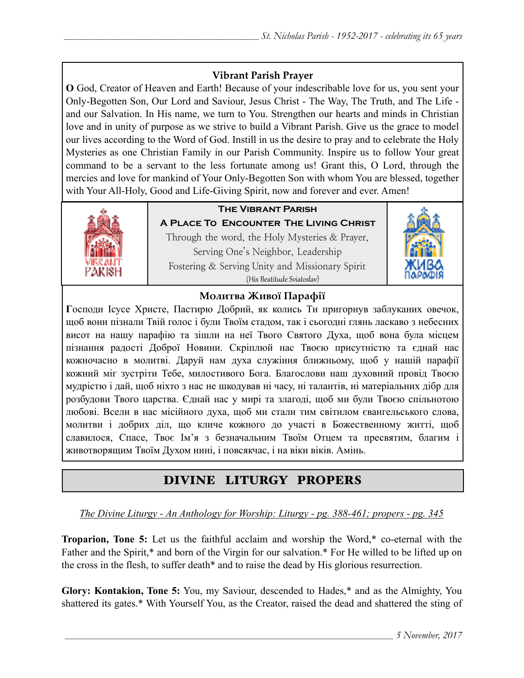## **Vibrant Parish Prayer**

**O** God, Creator of Heaven and Earth! Because of your indescribable love for us, you sent your Only-Begotten Son, Our Lord and Saviour, Jesus Christ - The Way, The Truth, and The Life and our Salvation. In His name, we turn to You. Strengthen our hearts and minds in Christian love and in unity of purpose as we strive to build a Vibrant Parish. Give us the grace to model our lives according to the Word of God. Instill in us the desire to pray and to celebrate the Holy Mysteries as one Christian Family in our Parish Community. Inspire us to follow Your great command to be a servant to the less fortunate among us! Grant this, O Lord, through the mercies and love for mankind of Your Only-Begotten Son with whom You are blessed, together with Your All-Holy, Good and Life-Giving Spirit, now and forever and ever. Amen!



## **The Vibrant Parish**

**A Place To Encounter The Living Christ** Through the word, the Holy Mysteries & Prayer, Serving One's Neighbor, Leadership Fostering & Serving Unity and Missionary Spirit (His Beatitude Sviatoslav)



## **Молитва Живої Парафії**

**Г**осподи Ісусе Христе, Пастирю Добрий, як колись Ти пригорнув заблуканих овечок, щоб вони пізнали Твій голос і були Твоїм стадом, так і сьогодні глянь ласкаво з небесних висот на нашу парафію та зішли на неї Твого Святого Духа, щоб вона була місцем пізнання радості Доброї Новини. Скріплюй нас Твоєю присутністю та єднай нас кожночасно в молитві. Даруй нам духа служіння ближньому, щоб у нашій парафії кожний міг зустріти Тебе, милостивого Бога. Благослови наш духовний провід Твоєю мудрістю і дай, щоб ніхто з нас не шкодував ні часу, ні талантів, ні матеріальних дібр для розбудови Твого царства. Єднай нас у мирі та злагоді, щоб ми були Твоєю спільнотою любові. Всели в нас місійного духа, щоб ми стали тим світилом євангельського слова, молитви і добрих діл, що кличе кожного до участі в Божественному житті, щоб славилося, Спасе, Твоє Ім'я з безначальним Твоїм Отцем та пресвятим, благим і животворящим Твоїм Духом нині, і повсякчас, і на віки віків. Амінь.

# DIVINE LITURGY PROPERS

*The Divine Liturgy - An Anthology for Worship: Liturgy - pg. 388-461; propers - pg. 345*

**Troparion, Tone 5:** Let us the faithful acclaim and worship the Word,\* co-eternal with the Father and the Spirit,<sup>\*</sup> and born of the Virgin for our salvation.<sup>\*</sup> For He willed to be lifted up on the cross in the flesh, to suffer death\* and to raise the dead by His glorious resurrection.

**Glory: Kontakion, Tone 5:** You, my Saviour, descended to Hades,\* and as the Almighty, You shattered its gates.\* With Yourself You, as the Creator, raised the dead and shattered the sting of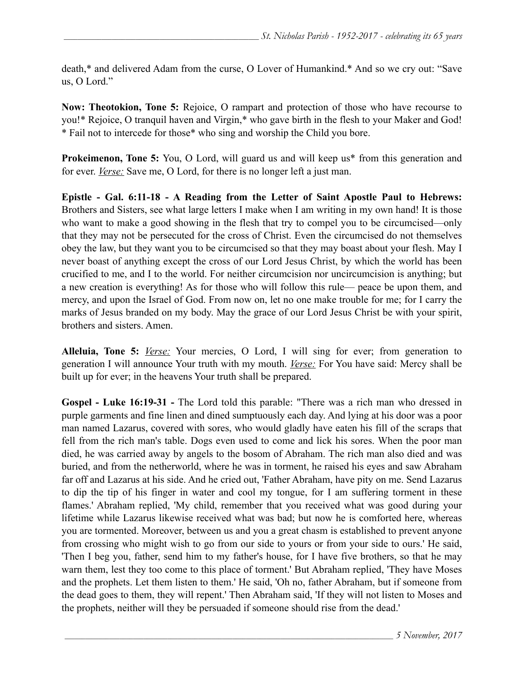death,\* and delivered Adam from the curse, O Lover of Humankind.\* And so we cry out: "Save us, O Lord."

**Now: Theotokion, Tone 5:** Rejoice, O rampart and protection of those who have recourse to you!\* Rejoice, O tranquil haven and Virgin,\* who gave birth in the flesh to your Maker and God! \* Fail not to intercede for those\* who sing and worship the Child you bore.

**Prokeimenon, Tone 5:** You, O Lord, will guard us and will keep us<sup>\*</sup> from this generation and for ever. *Verse:* Save me, O Lord, for there is no longer left a just man.

**Epistle - Gal. 6:11-18 - A Reading from the Letter of Saint Apostle Paul to Hebrews:** Brothers and Sisters, see what large letters I make when I am writing in my own hand! It is those who want to make a good showing in the flesh that try to compel you to be circumcised—only that they may not be persecuted for the cross of Christ. Even the circumcised do not themselves obey the law, but they want you to be circumcised so that they may boast about your flesh. May I never boast of anything except the cross of our Lord Jesus Christ, by which the world has been crucified to me, and I to the world. For neither circumcision nor uncircumcision is anything; but a new creation is everything! As for those who will follow this rule— peace be upon them, and mercy, and upon the Israel of God. From now on, let no one make trouble for me; for I carry the marks of Jesus branded on my body. May the grace of our Lord Jesus Christ be with your spirit, brothers and sisters. Amen.

**Alleluia, Tone 5:** *Verse:* Your mercies, O Lord, I will sing for ever; from generation to generation I will announce Your truth with my mouth. *Verse:* For You have said: Mercy shall be built up for ever; in the heavens Your truth shall be prepared.

**Gospel - Luke 16:19-31 -** The Lord told this parable: "There was a rich man who dressed in purple garments and fine linen and dined sumptuously each day. And lying at his door was a poor man named Lazarus, covered with sores, who would gladly have eaten his fill of the scraps that fell from the rich man's table. Dogs even used to come and lick his sores. When the poor man died, he was carried away by angels to the bosom of Abraham. The rich man also died and was buried, and from the netherworld, where he was in torment, he raised his eyes and saw Abraham far off and Lazarus at his side. And he cried out, 'Father Abraham, have pity on me. Send Lazarus to dip the tip of his finger in water and cool my tongue, for I am suffering torment in these flames.' Abraham replied, 'My child, remember that you received what was good during your lifetime while Lazarus likewise received what was bad; but now he is comforted here, whereas you are tormented. Moreover, between us and you a great chasm is established to prevent anyone from crossing who might wish to go from our side to yours or from your side to ours.' He said, 'Then I beg you, father, send him to my father's house, for I have five brothers, so that he may warn them, lest they too come to this place of torment.' But Abraham replied, 'They have Moses and the prophets. Let them listen to them.' He said, 'Oh no, father Abraham, but if someone from the dead goes to them, they will repent.' Then Abraham said, 'If they will not listen to Moses and the prophets, neither will they be persuaded if someone should rise from the dead.'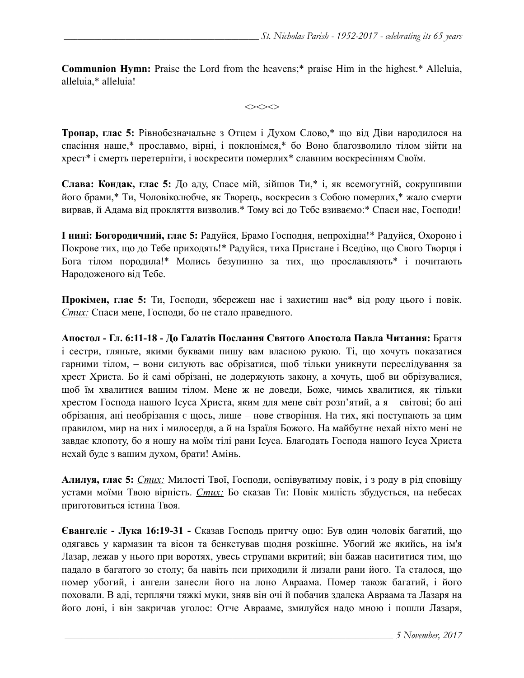**Communion Hymn:** Praise the Lord from the heavens;\* praise Him in the highest.\* Alleluia, alleluia,\* alleluia!

 $\iff$ 

**Тропар, глас 5:** Рівнобезначальне з Отцем і Духом Слово,\* що від Діви народилося на спасіння наше,\* прославмо, вірні, і поклонімся,\* бо Воно благозволило тілом зійти на хрест\* і смерть перетерпіти, і воскресити померлих\* славним воскресінням Своїм.

**Слава: Кондак, глас 5:** До аду, Спасе мій, зійшов Ти,\* і, як всемогутній, сокрушивши його брами,\* Ти, Чоловіколюбче, як Творець, воскресив з Собою померлих,\* жало смерти вирвав, й Адама від прокляття визволив.\* Тому всі до Тебе взиваємо:\* Спаси нас, Господи!

**І нині: Богородичний, глас 5:** Радуйся, Брамо Господня, непрохідна!\* Радуйся, Охороно і Покрове тих, що до Тебе приходять!\* Радуйся, тиха Пристане і Вседіво, що Свого Творця і Бога тілом породила!\* Молись безупинно за тих, що прославляють\* і почитають Народоженого від Тебе.

**Прокімен, глас 5:** Ти, Господи, збережеш нас і захистиш нас\* від роду цього і повік. *Стих:* Спаси мене, Господи, бо не стало праведного.

**Апостол - Гл. 6:11-18 - До Галатів Послання Святого Апостола Павла Читання:** Браття і сестри, гляньте, якими буквами пишу вам власною рукою. Ті, що хочуть показатися гарними тілом, – вони силують вас обрізатися, щоб тільки уникнути переслідування за хрест Христа. Бо й самі обрізані, не додержують закону, а хочуть, щоб ви обрізувалися, щоб їм хвалитися вашим тілом. Мене ж не доведи, Боже, чимсь хвалитися, як тільки хрестом Господа нашого Ісуса Христа, яким для мене світ розп'ятий, а я – світові; бо ані обрізання, ані необрізання є щось, лише – нове створіння. На тих, які поступають за цим правилом, мир на них і милосердя, а й на Ізраїля Божого. На майбутнє нехай ніхто мені не завдає клопоту, бо я ношу на моїм тілі рани Ісуса. Благодать Господа нашого Ісуса Христа нехай буде з вашим духом, брати! Амінь.

**Алилуя, глас 5:** *Стих:* Милості Твої, Господи, оспівуватиму повік, і з роду в рід сповіщу устами моїми Твою вірність. *Стих:* Бо сказав Ти: Повік милість збудується, на небесах приготовиться істина Твоя.

**Євангеліє - Лука 16:19-31 -** Сказав Господь притчу оцю: Був один чоловік багатий, що одягавсь у кармазин та вісон та бенкетував щодня розкішне. Убогий же якийсь, на ім'я Лазар, лежав у нього при воротях, увесь струпами вкритий; він бажав насититися тим, що падало в багатого зо столу; ба навіть пси приходили й лизали рани його. Та сталося, що помер убогий, і ангели занесли його на лоно Авраама. Помер також багатий, і його поховали. В аді, терплячи тяжкі муки, зняв він очі й побачив здалека Авраама та Лазаря на його лоні, і він закричав уголос: Отче Аврааме, змилуйся надо мною і пошли Лазаря,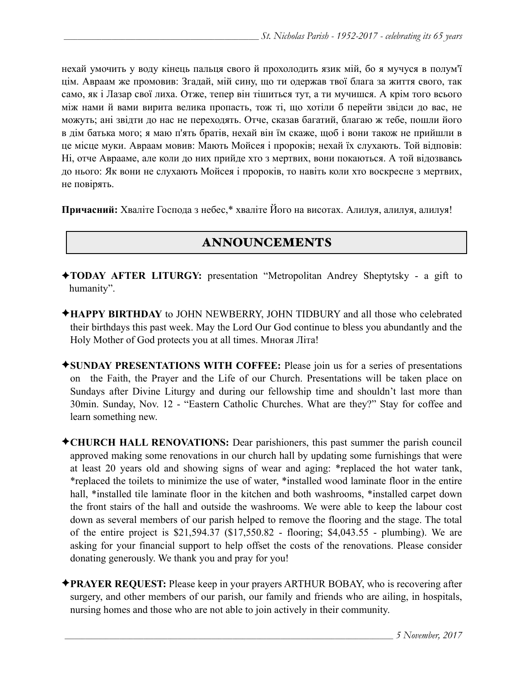нехай умочить у воду кінець пальця свого й прохолодить язик мій, бо я мучуся в полум'ї цім. Авраам же промовив: Згадай, мій сину, що ти одержав твої блага за життя свого, так само, як і Лазар свої лиха. Отже, тепер він тішиться тут, а ти мучишся. А крім того всього між нами й вами вирита велика пропасть, тож ті, що хотіли б перейти звідси до вас, не можуть; ані звідти до нас не переходять. Отче, сказав багатий, благаю ж тебе, пошли його в дім батька мого; я маю п'ять братів, нехай він їм скаже, щоб і вони також не прийшли в це місце муки. Авраам мовив: Мають Мойсея і пророків; нехай їх слухають. Той відповів: Ні, отче Аврааме, але коли до них прийде хто з мертвих, вони покаються. А той відозвавсь до нього: Як вони не слухають Мойсея і пророків, то навіть коли хто воскресне з мертвих, не повірять.

**Причасний:** Хваліте Господа з небес,\* хваліте Його на висотах. Алилуя, алилуя, алилуя!

# ANNOUNCEMENTS

- ✦**TODAY AFTER LITURGY:** presentation "Metropolitan Andrey Sheptytsky a gift to humanity".
- ✦**HAPPY BIRTHDAY** to JOHN NEWBERRY, JOHN TIDBURY and all those who celebrated their birthdays this past week. May the Lord Our God continue to bless you abundantly and the Holy Mother of God protects you at all times. Многая Літа!
- ✦**SUNDAY PRESENTATIONS WITH COFFEE:** Please join us for a series of presentations on the Faith, the Prayer and the Life of our Church. Presentations will be taken place on Sundays after Divine Liturgy and during our fellowship time and shouldn't last more than 30min. Sunday, Nov. 12 - "Eastern Catholic Churches. What are they?" Stay for coffee and learn something new.
- ✦**CHURCH HALL RENOVATIONS:** Dear parishioners, this past summer the parish council approved making some renovations in our church hall by updating some furnishings that were at least 20 years old and showing signs of wear and aging: \*replaced the hot water tank, \*replaced the toilets to minimize the use of water, \*installed wood laminate floor in the entire hall, \*installed tile laminate floor in the kitchen and both washrooms, \*installed carpet down the front stairs of the hall and outside the washrooms. We were able to keep the labour cost down as several members of our parish helped to remove the flooring and the stage. The total of the entire project is \$21,594.37 (\$17,550.82 - flooring; \$4,043.55 - plumbing). We are asking for your financial support to help offset the costs of the renovations. Please consider donating generously. We thank you and pray for you!
- ✦**PRAYER REQUEST:** Please keep in your prayers ARTHUR BOBAY, who is recovering after surgery, and other members of our parish, our family and friends who are ailing, in hospitals, nursing homes and those who are not able to join actively in their community.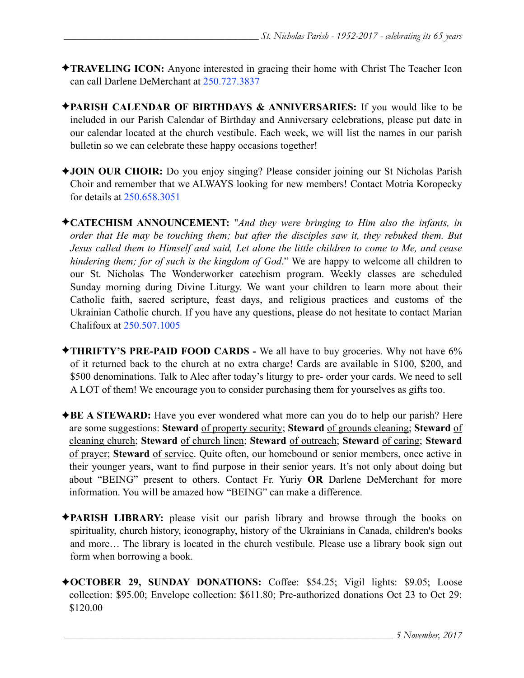- ✦**TRAVELING ICON:** Anyone interested in gracing their home with Christ The Teacher Icon can call Darlene DeMerchant at 250.727.3837
- ✦**PARISH CALENDAR OF BIRTHDAYS & ANNIVERSARIES:** If you would like to be included in our Parish Calendar of Birthday and Anniversary celebrations, please put date in our calendar located at the church vestibule. Each week, we will list the names in our parish bulletin so we can celebrate these happy occasions together!
- ✦**JOIN OUR CHOIR:** Do you enjoy singing? Please consider joining our St Nicholas Parish Choir and remember that we ALWAYS looking for new members! Contact Motria Koropecky for details at 250.658.3051
- ✦**CATECHISM ANNOUNCEMENT:** "*And they were bringing to Him also the infants, in order that He may be touching them; but after the disciples saw it, they rebuked them. But Jesus called them to Himself and said, Let alone the little children to come to Me, and cease hindering them; for of such is the kingdom of God*." We are happy to welcome all children to our St. Nicholas The Wonderworker catechism program. Weekly classes are scheduled Sunday morning during Divine Liturgy. We want your children to learn more about their Catholic faith, sacred scripture, feast days, and religious practices and customs of the Ukrainian Catholic church. If you have any questions, please do not hesitate to contact Marian Chalifoux at 250.507.1005
- ✦**THRIFTY'S PRE-PAID FOOD CARDS** We all have to buy groceries. Why not have 6% of it returned back to the church at no extra charge! Cards are available in \$100, \$200, and \$500 denominations. Talk to Alec after today's liturgy to pre- order your cards. We need to sell A LOT of them! We encourage you to consider purchasing them for yourselves as gifts too.
- **★BE A STEWARD:** Have you ever wondered what more can you do to help our parish? Here are some suggestions: **Steward** of property security; **Steward** of grounds cleaning; **Steward** of cleaning church; **Steward** of church linen; **Steward** of outreach; **Steward** of caring; **Steward** of prayer; **Steward** of service. Quite often, our homebound or senior members, once active in their younger years, want to find purpose in their senior years. It's not only about doing but about "BEING" present to others. Contact Fr. Yuriy **OR** Darlene DeMerchant for more information. You will be amazed how "BEING" can make a difference.
- ✦**PARISH LIBRARY:** please visit our parish library and browse through the books on spirituality, church history, iconography, history of the Ukrainians in Canada, children's books and more… The library is located in the church vestibule. Please use a library book sign out form when borrowing a book.
- ✦**OCTOBER 29, SUNDAY DONATIONS:** Coffee: \$54.25; Vigil lights: \$9.05; Loose collection: \$95.00; Envelope collection: \$611.80; Pre-authorized donations Oct 23 to Oct 29: \$120.00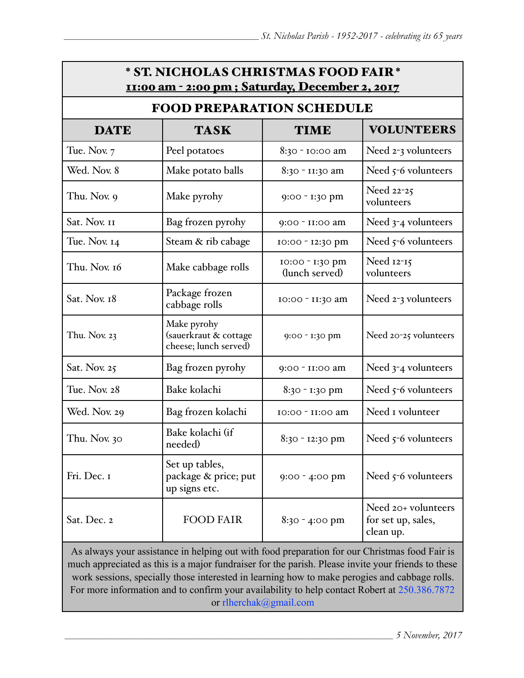| * ST. NICHOLAS CHRISTMAS FOOD FAIR*<br>11:00 am - 2:00 pm; Saturday, December 2, 2017<br><b>FOOD PREPARATION SCHEDULE</b>                                                                           |                                                               |                                   |                                                        |  |  |  |
|-----------------------------------------------------------------------------------------------------------------------------------------------------------------------------------------------------|---------------------------------------------------------------|-----------------------------------|--------------------------------------------------------|--|--|--|
|                                                                                                                                                                                                     |                                                               |                                   |                                                        |  |  |  |
| Tue. Nov. 7                                                                                                                                                                                         | Peel potatoes                                                 | 8:30 - 10:00 am                   | Need 2-3 volunteers                                    |  |  |  |
| Wed. Nov. 8                                                                                                                                                                                         | Make potato balls                                             | 8:30 - 11:30 am                   | Need $5-6$ volunteers                                  |  |  |  |
| Thu. Nov. 9                                                                                                                                                                                         | Make pyrohy                                                   | 9:00 - 1:30 pm                    | Need 22-25<br>volunteers                               |  |  |  |
| Sat. Nov. 11                                                                                                                                                                                        | Bag frozen pyrohy                                             | 9:00 - II:00 am                   | Need 3-4 volunteers                                    |  |  |  |
| Tue. Nov. 14                                                                                                                                                                                        | Steam & rib cabage                                            | 10:00 - 12:30 pm                  | Need $5-6$ volunteers                                  |  |  |  |
| Thu. Nov. 16                                                                                                                                                                                        | Make cabbage rolls                                            | 10:00 - 1:30 pm<br>(lunch served) | Need 12-15<br>volunteers                               |  |  |  |
| Sat. Nov. 18                                                                                                                                                                                        | Package frozen<br>cabbage rolls                               | 10:00 - 11:30 am                  | Need 2-3 volunteers                                    |  |  |  |
| Thu. Nov. 23                                                                                                                                                                                        | Make pyrohy<br>(sauerkraut & cottage<br>cheese; lunch served) | 9:00 - 1:30 pm                    | Need 20-25 volunteers                                  |  |  |  |
| Sat. Nov. 25                                                                                                                                                                                        | Bag frozen pyrohy                                             | 9:00 - II:00 am                   | Need $3-4$ volunteers                                  |  |  |  |
| Tue. Nov. 28                                                                                                                                                                                        | Bake kolachi                                                  | 8:30 - 1:30 pm                    | Need 5-6 volunteers                                    |  |  |  |
| Wed. Nov. 29                                                                                                                                                                                        | Bag frozen kolachi                                            | 10:00 - 11:00 am                  | Need I volunteer                                       |  |  |  |
| Thu. Nov. 30                                                                                                                                                                                        | Bake kolachi (if<br>needed)                                   | 8:30 - 12:30 pm                   | Need $5-6$ volunteers                                  |  |  |  |
| Fri. Dec. I                                                                                                                                                                                         | Set up tables,<br>package & price; put<br>up signs etc.       | 9:00 - 4:00 pm                    | Need $5-6$ volunteers                                  |  |  |  |
| Sat. Dec. 2                                                                                                                                                                                         | <b>FOOD FAIR</b>                                              | $8:30 - 4:00$ pm                  | Need 20+ volunteers<br>for set up, sales,<br>clean up. |  |  |  |
| As always your assistance in helping out with food preparation for our Christmas food Fair is<br>much appreciated as this is a major fundraiser for the parish. Please invite your friends to these |                                                               |                                   |                                                        |  |  |  |

work sessions, specially those interested in learning how to make perogies and cabbage rolls. For more information and to confirm your availability to help contact Robert at 250.386.7872 or [rlherchak@gmail.com](mailto:rlherchak@gmail.com)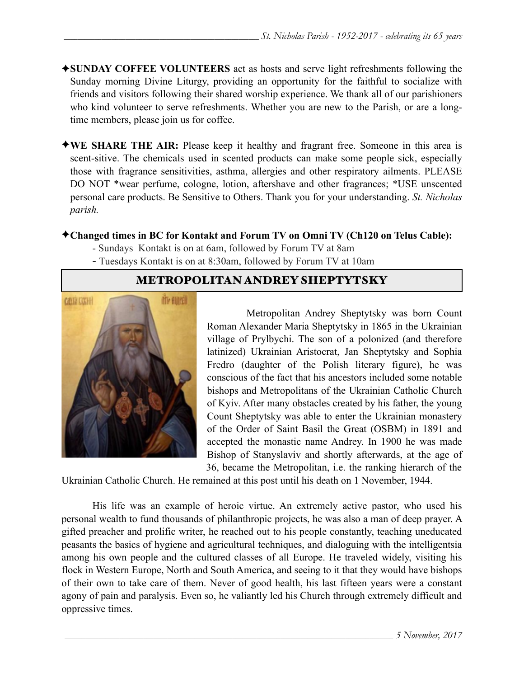- ✦**SUNDAY COFFEE VOLUNTEERS** act as hosts and serve light refreshments following the Sunday morning Divine Liturgy, providing an opportunity for the faithful to socialize with friends and visitors following their shared worship experience. We thank all of our parishioners who kind volunteer to serve refreshments. Whether you are new to the Parish, or are a longtime members, please join us for coffee.
- ✦**WE SHARE THE AIR:** Please keep it healthy and fragrant free. Someone in this area is scent-sitive. The chemicals used in scented products can make some people sick, especially those with fragrance sensitivities, asthma, allergies and other respiratory ailments. PLEASE DO NOT \*wear perfume, cologne, lotion, aftershave and other fragrances; \*USE unscented personal care products. Be Sensitive to Others. Thank you for your understanding. *St. Nicholas parish.*

### ✦**Changed times in BC for Kontakt and Forum TV on Omni TV (Ch120 on Telus Cable):**

- Sundays Kontakt is on at 6am, followed by Forum TV at 8am
- Tuesdays Kontakt is on at 8:30am, followed by Forum TV at 10am

## METROPOLITAN ANDREY SHEPTYTSKY



 Metropolitan Andrey Sheptytsky was born Count Roman Alexander Maria Sheptytsky in 1865 in the Ukrainian village of Prylbychi. The son of a polonized (and therefore latinized) Ukrainian Aristocrat, Jan Sheptytsky and Sophia Fredro (daughter of the Polish literary figure), he was conscious of the fact that his ancestors included some notable bishops and Metropolitans of the Ukrainian Catholic Church of Kyiv. After many obstacles created by his father, the young Count Sheptytsky was able to enter the Ukrainian monastery of the Order of Saint Basil the Great (OSBM) in 1891 and accepted the monastic name Andrey. In 1900 he was made Bishop of Stanyslaviv and shortly afterwards, at the age of 36, became the Metropolitan, i.e. the ranking hierarch of the

Ukrainian Catholic Church. He remained at this post until his death on 1 November, 1944.

 His life was an example of heroic virtue. An extremely active pastor, who used his personal wealth to fund thousands of philanthropic projects, he was also a man of deep prayer. A gifted preacher and prolific writer, he reached out to his people constantly, teaching uneducated peasants the basics of hygiene and agricultural techniques, and dialoguing with the intelligentsia among his own people and the cultured classes of all Europe. He traveled widely, visiting his flock in Western Europe, North and South America, and seeing to it that they would have bishops of their own to take care of them. Never of good health, his last fifteen years were a constant agony of pain and paralysis. Even so, he valiantly led his Church through extremely difficult and oppressive times.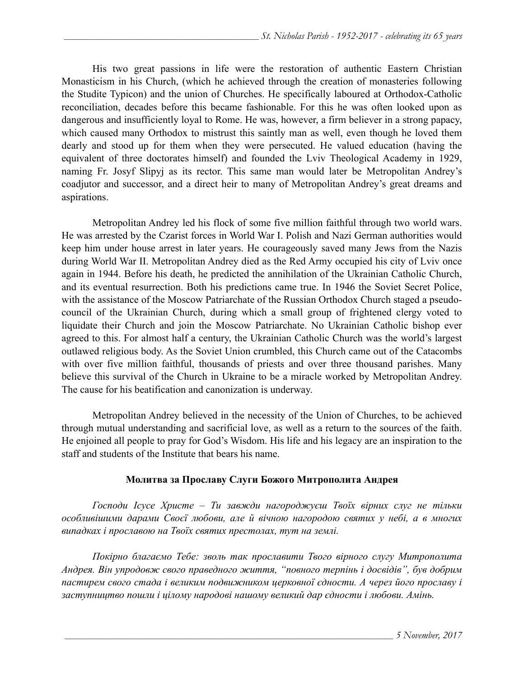His two great passions in life were the restoration of authentic Eastern Christian Monasticism in his Church, (which he achieved through the creation of monasteries following the Studite Typicon) and the union of Churches. He specifically laboured at Orthodox-Catholic reconciliation, decades before this became fashionable. For this he was often looked upon as dangerous and insufficiently loyal to Rome. He was, however, a firm believer in a strong papacy, which caused many Orthodox to mistrust this saintly man as well, even though he loved them dearly and stood up for them when they were persecuted. He valued education (having the equivalent of three doctorates himself) and founded the Lviv Theological Academy in 1929, naming Fr. Josyf Slipyj as its rector. This same man would later be Metropolitan Andrey's coadjutor and successor, and a direct heir to many of Metropolitan Andrey's great dreams and aspirations.

Metropolitan Andrey led his flock of some five million faithful through two world wars. He was arrested by the Czarist forces in World War I. Polish and Nazi German authorities would keep him under house arrest in later years. He courageously saved many Jews from the Nazis during World War II. Metropolitan Andrey died as the Red Army occupied his city of Lviv once again in 1944. Before his death, he predicted the annihilation of the Ukrainian Catholic Church, and its eventual resurrection. Both his predictions came true. In 1946 the Soviet Secret Police, with the assistance of the Moscow Patriarchate of the Russian Orthodox Church staged a pseudocouncil of the Ukrainian Church, during which a small group of frightened clergy voted to liquidate their Church and join the Moscow Patriarchate. No Ukrainian Catholic bishop ever agreed to this. For almost half a century, the Ukrainian Catholic Church was the world's largest outlawed religious body. As the Soviet Union crumbled, this Church came out of the Catacombs with over five million faithful, thousands of priests and over three thousand parishes. Many believe this survival of the Church in Ukraine to be a miracle worked by Metropolitan Andrey. The cause for his beatification and canonization is underway.

 Metropolitan Andrey believed in the necessity of the Union of Churches, to be achieved through mutual understanding and sacrificial love, as well as a return to the sources of the faith. He enjoined all people to pray for God's Wisdom. His life and his legacy are an inspiration to the staff and students of the Institute that bears his name.

#### **Молитва за Прославу Слуги Божого Митрополита Андрея**

*Господи Ісусе Христе – Ти завжди нагороджуєш Твоїх вірних слуг не тільки особливішими дарами Своєї любови, але й вічною нагородою святих у небі, а в многих випадках і прославою на Твоїх святих престолах, тут на землі.*

*Покірно благаємо Тебе: зволь так прославити Твого вірного слугу Митрополита Андрея. Він упродовж свого праведного життя, "повного терпінь і досвідів", був добрим пастирем свого стада і великим подвижником церковної єдности. А через його прославу і заступництво пошли і цілому народові нашому великий дар єдности і любови. Амінь.*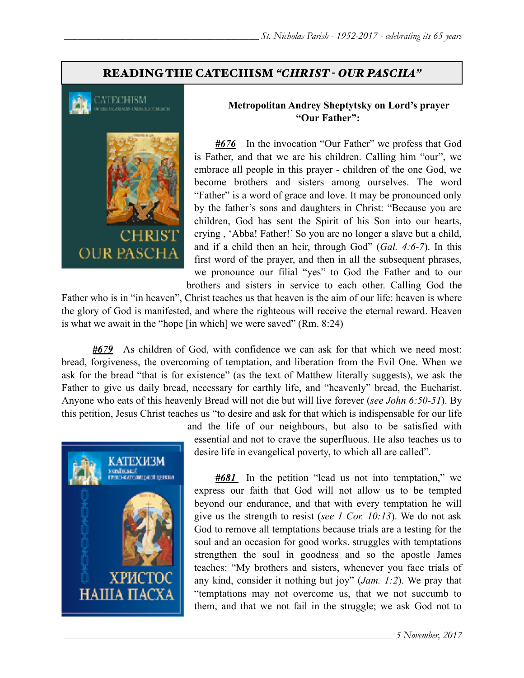### READING THE CATECHISM *"CHRIST - OUR PASCHA"*





#### **Metropolitan Andrey Sheptytsky on Lord's prayer "Our Father":**

*#676* In the invocation "Our Father" we profess that God is Father, and that we are his children. Calling him "our", we embrace all people in this prayer - children of the one God, we become brothers and sisters among ourselves. The word "Father" is a word of grace and love. It may be pronounced only by the father's sons and daughters in Christ: "Because you are children, God has sent the Spirit of his Son into our hearts, crying , 'Abba! Father!' So you are no longer a slave but a child, and if a child then an heir, through God" (*Gal. 4:6-7*). In this first word of the prayer, and then in all the subsequent phrases, we pronounce our filial "yes" to God the Father and to our brothers and sisters in service to each other. Calling God the

Father who is in "in heaven", Christ teaches us that heaven is the aim of our life: heaven is where the glory of God is manifested, and where the righteous will receive the eternal reward. Heaven is what we await in the "hope [in which] we were saved" (Rm. 8:24)

*#679* As children of God, with confidence we can ask for that which we need most: bread, forgiveness, the overcoming of temptation, and liberation from the Evil One. When we ask for the bread "that is for existence" (as the text of Matthew literally suggests), we ask the Father to give us daily bread, necessary for earthly life, and "heavenly" bread, the Eucharist. Anyone who eats of this heavenly Bread will not die but will live forever (*see John 6:50-51*). By this petition, Jesus Christ teaches us "to desire and ask for that which is indispensable for our life



and the life of our neighbours, but also to be satisfied with essential and not to crave the superfluous. He also teaches us to desire life in evangelical poverty, to which all are called".

*#681* In the petition "lead us not into temptation," we express our faith that God will not allow us to be tempted beyond our endurance, and that with every temptation he will give us the strength to resist (*see 1 Cor. 10:13*). We do not ask God to remove all temptations because trials are a testing for the soul and an occasion for good works. struggles with temptations strengthen the soul in goodness and so the apostle James teaches: "My brothers and sisters, whenever you face trials of any kind, consider it nothing but joy" (*Jam. 1:2*). We pray that "temptations may not overcome us, that we not succumb to them, and that we not fail in the struggle; we ask God not to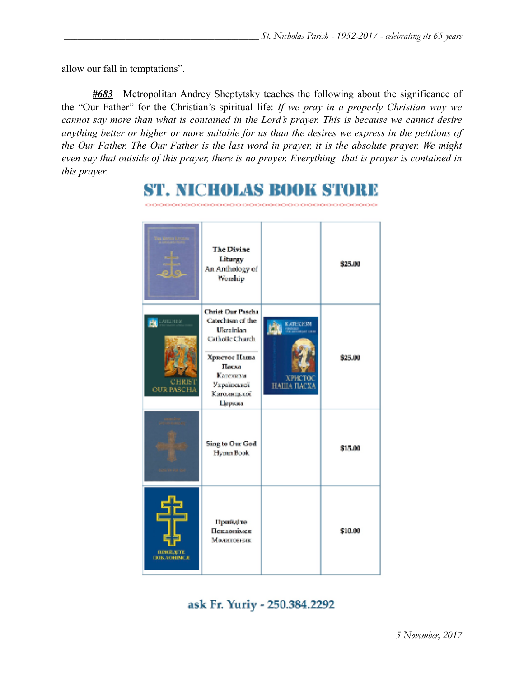allow our fall in temptations".

*#683* Metropolitan Andrey Sheptytsky teaches the following about the significance of the "Our Father" for the Christian's spiritual life: *If we pray in a properly Christian way we cannot say more than what is contained in the Lord's prayer. This is because we cannot desire anything better or higher or more suitable for us than the desires we express in the petitions of the Our Father. The Our Father is the last word in prayer, it is the absolute prayer. We might even say that outside of this prayer, there is no prayer. Everything that is prayer is contained in this prayer.* 



# ST. NICHOLAS BOOK STO

# ask Fr. Yuriy - 250.384.2292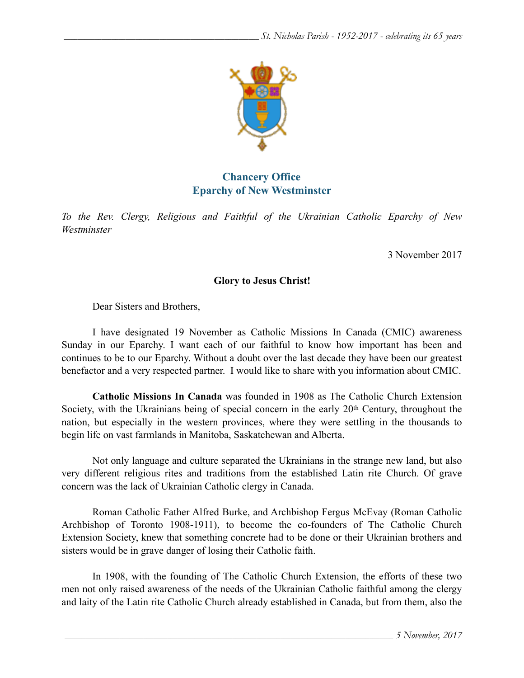

## **Chancery Office Eparchy of New Westminster**

*To the Rev. Clergy, Religious and Faithful of the Ukrainian Catholic Eparchy of New Westminster*

3 November 2017

#### **Glory to Jesus Christ!**

Dear Sisters and Brothers,

 I have designated 19 November as Catholic Missions In Canada (CMIC) awareness Sunday in our Eparchy. I want each of our faithful to know how important has been and continues to be to our Eparchy. Without a doubt over the last decade they have been our greatest benefactor and a very respected partner. I would like to share with you information about CMIC.

**Catholic Missions In Canada** was founded in 1908 as The Catholic Church Extension Society, with the Ukrainians being of special concern in the early 20<sup>th</sup> Century, throughout the nation, but especially in the western provinces, where they were settling in the thousands to begin life on vast farmlands in Manitoba, Saskatchewan and Alberta.

 Not only language and culture separated the Ukrainians in the strange new land, but also very different religious rites and traditions from the established Latin rite Church. Of grave concern was the lack of Ukrainian Catholic clergy in Canada.

 Roman Catholic Father Alfred Burke, and Archbishop Fergus McEvay (Roman Catholic Archbishop of Toronto 1908-1911), to become the co-founders of The Catholic Church Extension Society, knew that something concrete had to be done or their Ukrainian brothers and sisters would be in grave danger of losing their Catholic faith.

 In 1908, with the founding of The Catholic Church Extension, the efforts of these two men not only raised awareness of the needs of the Ukrainian Catholic faithful among the clergy and laity of the Latin rite Catholic Church already established in Canada, but from them, also the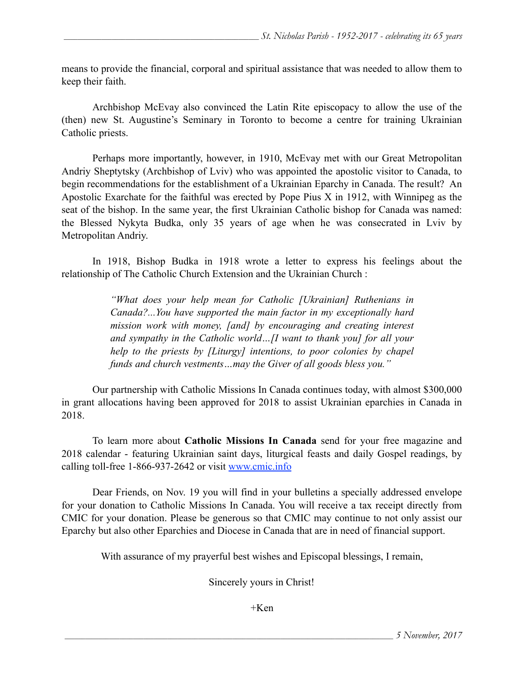means to provide the financial, corporal and spiritual assistance that was needed to allow them to keep their faith.

 Archbishop McEvay also convinced the Latin Rite episcopacy to allow the use of the (then) new St. Augustine's Seminary in Toronto to become a centre for training Ukrainian Catholic priests.

 Perhaps more importantly, however, in 1910, McEvay met with our Great Metropolitan Andriy Sheptytsky (Archbishop of Lviv) who was appointed the apostolic visitor to Canada, to begin recommendations for the establishment of a Ukrainian Eparchy in Canada. The result? An Apostolic Exarchate for the faithful was erected by Pope Pius X in 1912, with Winnipeg as the seat of the bishop. In the same year, the first Ukrainian Catholic bishop for Canada was named: the Blessed Nykyta Budka, only 35 years of age when he was consecrated in Lviv by Metropolitan Andriy.

 In 1918, Bishop Budka in 1918 wrote a letter to express his feelings about the relationship of The Catholic Church Extension and the Ukrainian Church :

> *"What does your help mean for Catholic [Ukrainian] Ruthenians in Canada?...You have supported the main factor in my exceptionally hard mission work with money, [and] by encouraging and creating interest and sympathy in the Catholic world…[I want to thank you] for all your help to the priests by [Liturgy] intentions, to poor colonies by chapel funds and church vestments…may the Giver of all goods bless you."*

 Our partnership with Catholic Missions In Canada continues today, with almost \$300,000 in grant allocations having been approved for 2018 to assist Ukrainian eparchies in Canada in 2018.

 To learn more about **Catholic Missions In Canada** send for your free magazine and 2018 calendar - featuring Ukrainian saint days, liturgical feasts and daily Gospel readings, by calling toll-free 1-866-937-2642 or visit [www.cmic.info](http://www.cmic.info)

 Dear Friends, on Nov. 19 you will find in your bulletins a specially addressed envelope for your donation to Catholic Missions In Canada. You will receive a tax receipt directly from CMIC for your donation. Please be generous so that CMIC may continue to not only assist our Eparchy but also other Eparchies and Diocese in Canada that are in need of financial support.

With assurance of my prayerful best wishes and Episcopal blessings, I remain,

Sincerely yours in Christ!

+Ken